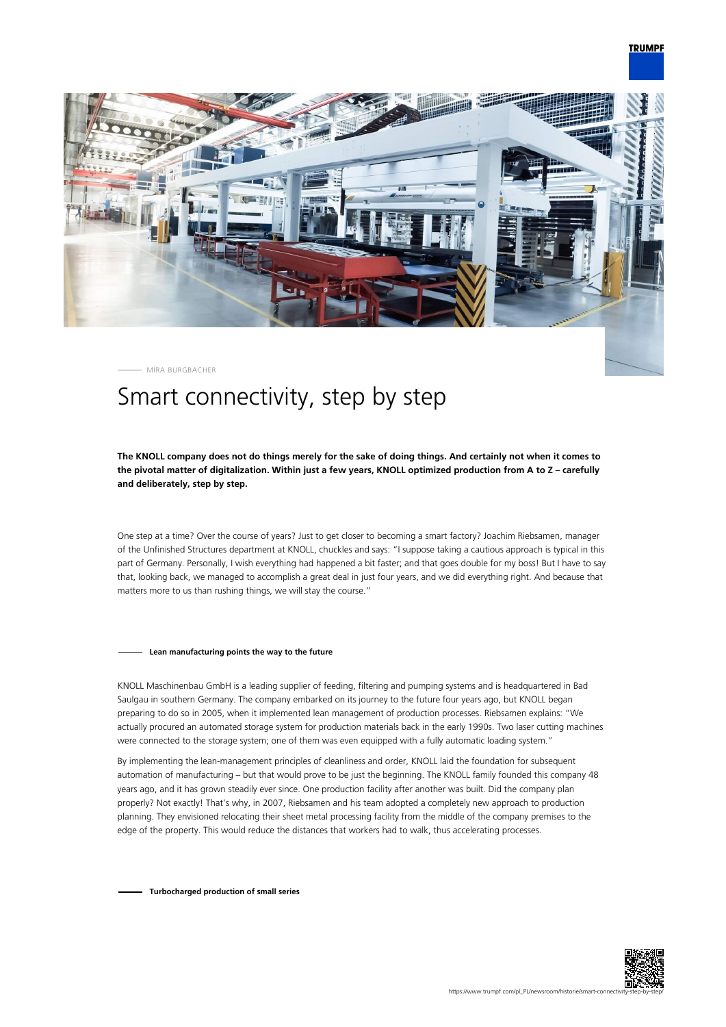

MIRA BURGBACHER

# Smart connectivity, step by step

# **The KNOLL company does not do things merely for the sake of doing things. And certainly not when it comes to the pivotal matter of digitalization. Within just a few years, KNOLL optimized production from A to Z – carefully and deliberately, step by step.**

One step at a time? Over the course of years? Just to get closer to becoming a smart factory? Joachim Riebsamen, manager of the Unfinished Structures department at KNOLL, chuckles and says: "I suppose taking a cautious approach is typical in this part of Germany. Personally, I wish everything had happened a bit faster; and that goes double for my boss! But I have to say that, looking back, we managed to accomplish a great deal in just four years, and we did everything right. And because that matters more to us than rushing things, we will stay the course."

#### **Lean manufacturing points the way to the future**

KNOLL Maschinenbau GmbH is a leading supplier of feeding, filtering and pumping systems and is headquartered in Bad Saulgau in southern Germany. The company embarked on its journey to the future four years ago, but KNOLL began preparing to do so in 2005, when it implemented lean management of production processes. Riebsamen explains: "We actually procured an automated storage system for production materials back in the early 1990s. Two laser cutting machines were connected to the storage system; one of them was even equipped with a fully automatic loading system."

By implementing the lean-management principles of cleanliness and order, KNOLL laid the foundation for subsequent automation of manufacturing – but that would prove to be just the beginning. The KNOLL family founded this company 48 years ago, and it has grown steadily ever since. One production facility after another was built. Did the company plan properly? Not exactly! That's why, in 2007, Riebsamen and his team adopted a completely new approach to production planning. They envisioned relocating their sheet metal processing facility from the middle of the company premises to the edge of the property. This would reduce the distances that workers had to walk, thus accelerating processes.

**Turbocharged production of small series**

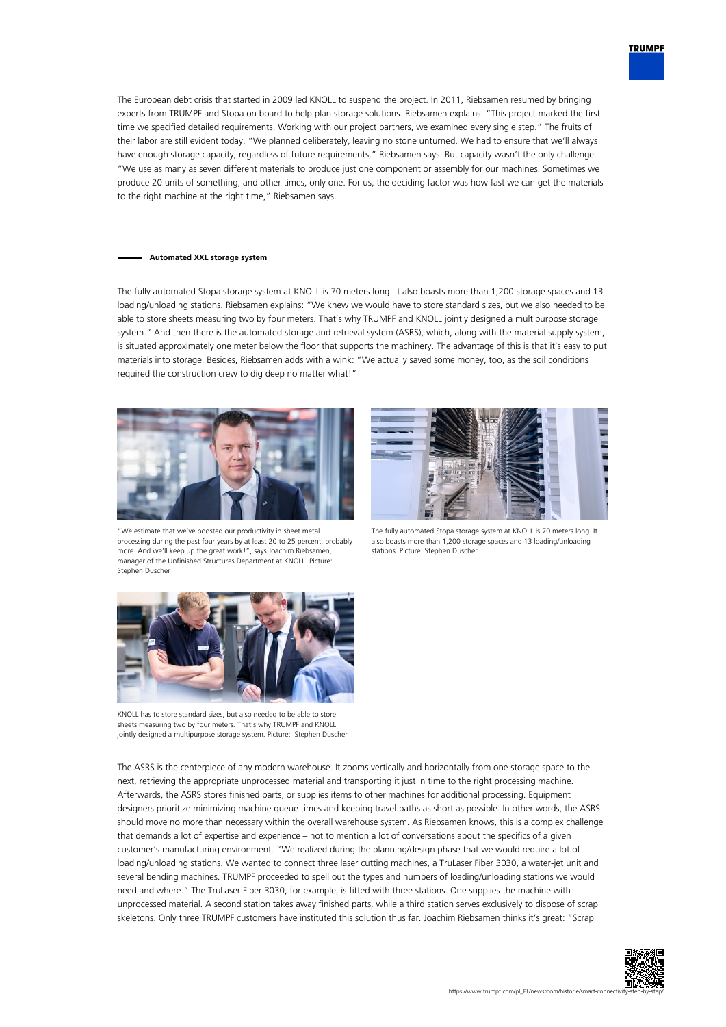

The European debt crisis that started in 2009 led KNOLL to suspend the project. In 2011, Riebsamen resumed by bringing experts from TRUMPF and Stopa on board to help plan storage solutions. Riebsamen explains: "This project marked the first time we specified detailed requirements. Working with our project partners, we examined every single step." The fruits of their labor are still evident today. "We planned deliberately, leaving no stone unturned. We had to ensure that we'll always have enough storage capacity, regardless of future requirements," Riebsamen says. But capacity wasn't the only challenge. "We use as many as seven different materials to produce just one component or assembly for our machines. Sometimes we produce 20 units of something, and other times, only one. For us, the deciding factor was how fast we can get the materials to the right machine at the right time," Riebsamen says.

### **Automated XXL storage system**

The fully automated Stopa storage system at KNOLL is 70 meters long. It also boasts more than 1,200 storage spaces and 13 loading/unloading stations. Riebsamen explains: "We knew we would have to store standard sizes, but we also needed to be able to store sheets measuring two by four meters. That's why TRUMPF and KNOLL jointly designed a multipurpose storage system." And then there is the automated storage and retrieval system (ASRS), which, along with the material supply system, is situated approximately one meter below the floor that supports the machinery. The advantage of this is that it's easy to put materials into storage. Besides, Riebsamen adds with a wink: "We actually saved some money, too, as the soil conditions required the construction crew to dig deep no matter what!"



"We estimate that we've boosted our productivity in sheet metal processing during the past four years by at least 20 to 25 percent, probably more. And we'll keep up the great work!", says Joachim Riebsamen, manager of the Unfinished Structures Department at KNOLL. Picture: Stephen Duscher



The fully automated Stopa storage system at KNOLL is 70 meters long. It also boasts more than 1,200 storage spaces and 13 loading/unloading stations. Picture: Stephen Duscher



KNOLL has to store standard sizes, but also needed to be able to store sheets measuring two by four meters. That's why TRUMPF and KNOLL jointly designed a multipurpose storage system. Picture: Stephen Duscher

The ASRS is the centerpiece of any modern warehouse. It zooms vertically and horizontally from one storage space to the next, retrieving the appropriate unprocessed material and transporting it just in time to the right processing machine. Afterwards, the ASRS stores finished parts, or supplies items to other machines for additional processing. Equipment designers prioritize minimizing machine queue times and keeping travel paths as short as possible. In other words, the ASRS should move no more than necessary within the overall warehouse system. As Riebsamen knows, this is a complex challenge that demands a lot of expertise and experience – not to mention a lot of conversations about the specifics of a given customer's manufacturing environment. "We realized during the planning/design phase that we would require a lot of loading/unloading stations. We wanted to connect three laser cutting machines, a TruLaser Fiber 3030, a water-jet unit and several bending machines. TRUMPF proceeded to spell out the types and numbers of loading/unloading stations we would need and where." The TruLaser Fiber 3030, for example, is fitted with three stations. One supplies the machine with unprocessed material. A second station takes away finished parts, while a third station serves exclusively to dispose of scrap skeletons. Only three TRUMPF customers have instituted this solution thus far. Joachim Riebsamen thinks it's great: "Scrap

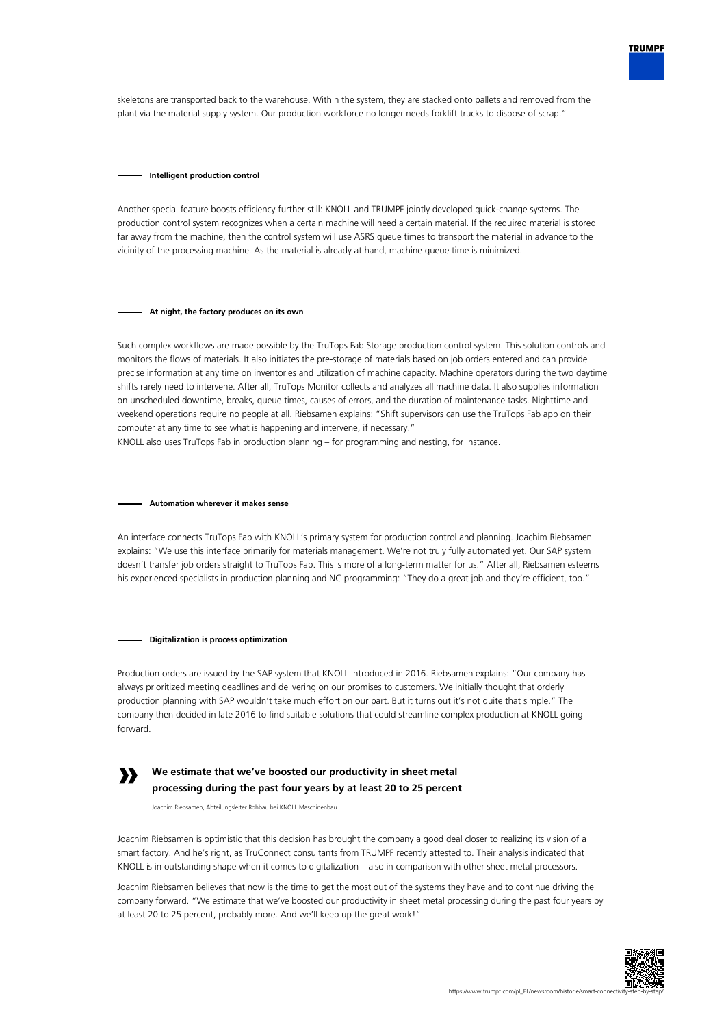

skeletons are transported back to the warehouse. Within the system, they are stacked onto pallets and removed from the plant via the material supply system. Our production workforce no longer needs forklift trucks to dispose of scrap."

#### **Intelligent production control**

Another special feature boosts efficiency further still: KNOLL and TRUMPF jointly developed quick-change systems. The production control system recognizes when a certain machine will need a certain material. If the required material is stored far away from the machine, then the control system will use ASRS queue times to transport the material in advance to the vicinity of the processing machine. As the material is already at hand, machine queue time is minimized.

## **At night, the factory produces on its own**

Such complex workflows are made possible by the TruTops Fab Storage production control system. This solution controls and monitors the flows of materials. It also initiates the pre-storage of materials based on job orders entered and can provide precise information at any time on inventories and utilization of machine capacity. Machine operators during the two daytime shifts rarely need to intervene. After all, TruTops Monitor collects and analyzes all machine data. It also supplies information on unscheduled downtime, breaks, queue times, causes of errors, and the duration of maintenance tasks. Nighttime and weekend operations require no people at all. Riebsamen explains: "Shift supervisors can use the TruTops Fab app on their computer at any time to see what is happening and intervene, if necessary."

KNOLL also uses TruTops Fab in production planning – for programming and nesting, for instance.

## **Automation wherever it makes sense**

An interface connects TruTops Fab with KNOLL's primary system for production control and planning. Joachim Riebsamen explains: "We use this interface primarily for materials management. We're not truly fully automated yet. Our SAP system doesn't transfer job orders straight to TruTops Fab. This is more of a long-term matter for us." After all, Riebsamen esteems his experienced specialists in production planning and NC programming: "They do a great job and they're efficient, too."

#### **Digitalization is process optimization**

Production orders are issued by the SAP system that KNOLL introduced in 2016. Riebsamen explains: "Our company has always prioritized meeting deadlines and delivering on our promises to customers. We initially thought that orderly production planning with SAP wouldn't take much effort on our part. But it turns out it's not quite that simple." The company then decided in late 2016 to find suitable solutions that could streamline complex production at KNOLL going forward.



# **We estimate that we've boosted our productivity in sheet metal processing during the past four years by at least 20 to 25 percent**

Joachim Riebsamen, Abteilungsleiter Rohbau bei KNOLL Maschinenbau

Joachim Riebsamen is optimistic that this decision has brought the company a good deal closer to realizing its vision of a smart factory. And he's right, as TruConnect consultants from TRUMPF recently attested to. Their analysis indicated that KNOLL is in outstanding shape when it comes to digitalization – also in comparison with other sheet metal processors.

Joachim Riebsamen believes that now is the time to get the most out of the systems they have and to continue driving the company forward. "We estimate that we've boosted our productivity in sheet metal processing during the past four years by at least 20 to 25 percent, probably more. And we'll keep up the great work!"